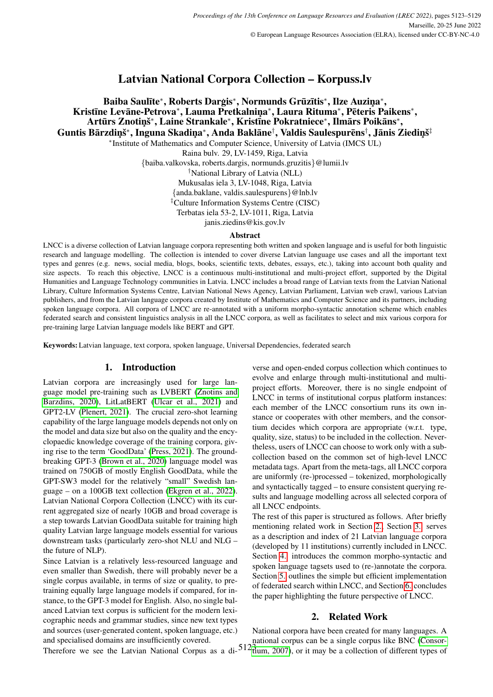# Latvian National Corpora Collection – Korpuss.lv

### Baiba Saulīte\*, Roberts Darģis\*, Normunds Grūzītis\*, Ilze Auziņa\*, Kristīne Levāne-Petrova\*, Lauma Pretkalniņa\*, Laura Rituma\*, Pēteris Paikens\*, Artūrs Znotiņš\*, Laine Strankale\*, Kristīne Pokratniece\*, Ilmārs Poikāns\*, Guntis Bārzdiņš\*, Inguna Skadiņa\*, Anda Baklāne†, Valdis Saulespurēns†, Jānis Ziediņš‡ ∗ Institute of Mathematics and Computer Science, University of Latvia (IMCS UL) Raina bulv. 29, LV-1459, Riga, Latvia

{baiba.valkovska, roberts.dargis, normunds.gruzitis}@lumii.lv

†National Library of Latvia (NLL)

Mukusalas iela 3, LV-1048, Riga, Latvia

{anda.baklane, valdis.saulespurens}@lnb.lv

‡Culture Information Systems Centre (CISC)

Terbatas iela 53-2, LV-1011, Riga, Latvia

janis.ziedins@kis.gov.lv

#### Abstract

LNCC is a diverse collection of Latvian language corpora representing both written and spoken language and is useful for both linguistic research and language modelling. The collection is intended to cover diverse Latvian language use cases and all the important text types and genres (e.g. news, social media, blogs, books, scientific texts, debates, essays, etc.), taking into account both quality and size aspects. To reach this objective, LNCC is a continuous multi-institutional and multi-project effort, supported by the Digital Humanities and Language Technology communities in Latvia. LNCC includes a broad range of Latvian texts from the Latvian National Library, Culture Information Systems Centre, Latvian National News Agency, Latvian Parliament, Latvian web crawl, various Latvian publishers, and from the Latvian language corpora created by Institute of Mathematics and Computer Science and its partners, including spoken language corpora. All corpora of LNCC are re-annotated with a uniform morpho-syntactic annotation scheme which enables federated search and consistent linguistics analysis in all the LNCC corpora, as well as facilitates to select and mix various corpora for pre-training large Latvian language models like BERT and GPT.

Keywords: Latvian language, text corpora, spoken language, Universal Dependencies, federated search

### 1. Introduction

Latvian corpora are increasingly used for large language model pre-training such as LVBERT [\(Znotins and](#page-5-0) [Barzdins, 2020\)](#page-5-0), LitLatBERT [\(Ulcar et al., 2021\)](#page-5-1) and GPT2-LV [\(Plenert, 2021\)](#page-5-2). The crucial zero-shot learning capability of the large language models depends not only on the model and data size but also on the quality and the encyclopaedic knowledge coverage of the training corpora, giving rise to the term 'GoodData' [\(Press, 2021\)](#page-5-3). The groundbreaking GPT-3 [\(Brown et al., 2020\)](#page-4-0) language model was trained on 750GB of mostly English GoodData, while the GPT-SW3 model for the relatively "small" Swedish language – on a 100GB text collection [\(Ekgren et al., 2022\)](#page-4-1). Latvian National Corpora Collection (LNCC) with its current aggregated size of nearly 10GB and broad coverage is a step towards Latvian GoodData suitable for training high quality Latvian large language models essential for various downstream tasks (particularly zero-shot NLU and NLG – the future of NLP).

Since Latvian is a relatively less-resourced language and even smaller than Swedish, there will probably never be a single corpus available, in terms of size or quality, to pretraining equally large language models if compared, for instance, to the GPT-3 model for English. Also, no single balanced Latvian text corpus is sufficient for the modern lexicographic needs and grammar studies, since new text types and sources (user-generated content, spoken language, etc.) and specialised domains are insufficiently covered.

verse and open-ended corpus collection which continues to evolve and enlarge through multi-institutional and multiproject efforts. Moreover, there is no single endpoint of LNCC in terms of institutional corpus platform instances: each member of the LNCC consortium runs its own instance or cooperates with other members, and the consortium decides which corpora are appropriate (w.r.t. type, quality, size, status) to be included in the collection. Nevertheless, users of LNCC can choose to work only with a subcollection based on the common set of high-level LNCC metadata tags. Apart from the meta-tags, all LNCC corpora are uniformly (re-)processed – tokenized, morphologically and syntactically tagged – to ensure consistent querying results and language modelling across all selected corpora of all LNCC endpoints.

The rest of this paper is structured as follows. After briefly mentioning related work in Section [2.,](#page-0-0) Section [3.](#page-1-0) serves as a description and index of 21 Latvian language corpora (developed by 11 institutions) currently included in LNCC. Section [4.](#page-2-0) introduces the common morpho-syntactic and spoken language tagsets used to (re-)annotate the corpora. Section [5.](#page-3-0) outlines the simple but efficient implementation of federated search within LNCC, and Section [6.](#page-3-1) concludes the paper highlighting the future perspective of LNCC.

### <span id="page-0-0"></span>2. Related Work

Therefore we see the Latvian National Corpus as a di- $512<sup>2</sup>$ [tium, 2007\)](#page-4-2), or it may be a collection of different types of National corpora have been created for many languages. A national corpus can be a single corpus like BNC [\(Consor-](#page-4-2)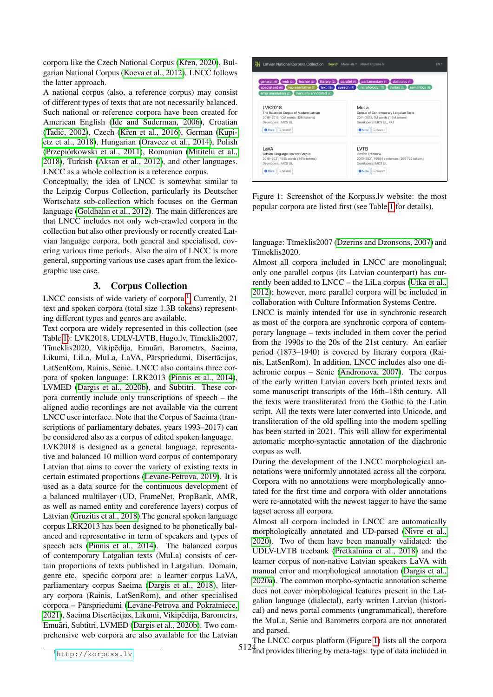corpora like the Czech National Corpus (Křen, 2020), Bulgarian National Corpus [\(Koeva et al., 2012\)](#page-4-3). LNCC follows the latter approach.

A national corpus (also, a reference corpus) may consist of different types of texts that are not necessarily balanced. Such national or reference corpora have been created for American English [\(Ide and Suderman, 2006\)](#page-4-4), Croatian (Tadić, 2002), Czech (Křen et al., 2016), German [\(Kupi](#page-5-6)[etz et al., 2018\)](#page-5-6), Hungarian [\(Oravecz et al., 2014\)](#page-5-7), Polish (Przepiórkowski et al., 2011), Romanian [\(Mititelu et al.,](#page-5-9) [2018\)](#page-5-9), Turkish [\(Aksan et al., 2012\)](#page-4-6), and other languages. LNCC as a whole collection is a reference corpus.

Conceptually, the idea of LNCC is somewhat similar to the Leipzig Corpus Collection, particularly its Deutscher Wortschatz sub-collection which focuses on the German language [\(Goldhahn et al., 2012\)](#page-4-7). The main differences are that LNCC includes not only web-crawled corpora in the collection but also other previously or recently created Latvian language corpora, both general and specialised, covering various time periods. Also the aim of LNCC is more general, supporting various use cases apart from the lexicographic use case.

## 3. Corpus Collection

<span id="page-1-0"></span>LNCC consists of wide variety of corpora.<sup>[1](#page-1-1)</sup> Currently, 21 text and spoken corpora (total size 1.3B tokens) representing different types and genres are available.

Text corpora are widely represented in this collection (see Table [1\)](#page-2-1): LVK2018, UDLV-LVTB, Hugo.lv, Tīmeklis2007, Tīmeklis2020, Vikipēdija, Emuāri, Barometrs, Saeima, Likumi, LiLa, MuLa, LaVA, Pārspriedumi, Disertācijas, LatSenRom, Rainis, Senie. LNCC also contains three corpora of spoken language: LRK2013 [\(Pinnis et al., 2014\)](#page-5-10), LVMED [\(Dargis et al., 2020b\)](#page-4-8), and Subtitri. These corpora currently include only transcriptions of speech – the aligned audio recordings are not available via the current LNCC user interface. Note that the Corpus of Saeima (transcriptions of parliamentary debates, years 1993–2017) can be considered also as a corpus of edited spoken language.

LVK2018 is designed as a general language, representative and balanced 10 million word corpus of contemporary Latvian that aims to cover the variety of existing texts in certain estimated proportions [\(Levane-Petrova, 2019\)](#page-5-11). It is used as a data source for the continuous development of a balanced multilayer (UD, FrameNet, PropBank, AMR, as well as named entity and coreference layers) corpus of Latvian [\(Gruzitis et al., 2018\)](#page-4-9).The general spoken language corpus LRK2013 has been designed to be phonetically balanced and representative in term of speakers and types of speech acts [\(Pinnis et al., 2014\)](#page-5-10). The balanced corpus of contemporary Latgalian texts (MuLa) consists of certain proportions of texts published in Latgalian. Domain, genre etc. specific corpora are: a learner corpus LaVA, parliamentary corpus Saeima [\(Dargis et al., 2018\)](#page-4-10), literary corpora (Rainis, LatSenRom), and other specialised corpora – Pārspriedumi (Levāne-Petrova and Pokratniece, [2021\)](#page-5-12), Saeima Disertācijas, Likumi, Vikipēdija, Barometrs, Emuāri, Subtitri, LVMED [\(Dargis et al., 2020b\)](#page-4-8). Two comprehensive web corpora are also available for the Latvian



<span id="page-1-2"></span>Figure 1: Screenshot of the Korpuss.lv website: the most popular corpora are listed first (see Table [1](#page-2-1) for details).

language: Tīmeklis2007 [\(Dzerins and Dzonsons, 2007\)](#page-4-11) and Tīmeklis2020.

Almost all corpora included in LNCC are monolingual; only one parallel corpus (its Latvian counterpart) has currently been added to LNCC – the LiLa corpus [\(Utka et al.,](#page-5-13) [2012\)](#page-5-13); however, more parallel corpora will be included in collaboration with Culture Information Systems Centre.

LNCC is mainly intended for use in synchronic research as most of the corpora are synchronic corpora of contemporary language – texts included in them cover the period from the 1990s to the 20s of the 21st century. An earlier period (1873–1940) is covered by literary corpora (Rainis, LatSenRom). In addition, LNCC includes also one diachronic corpus – Senie [\(Andronova, 2007\)](#page-4-12). The corpus of the early written Latvian covers both printed texts and some manuscript transcripts of the 16th–18th century. All the texts were transliterated from the Gothic to the Latin script. All the texts were later converted into Unicode, and transliteration of the old spelling into the modern spelling has been started in 2021. This will allow for experimental automatic morpho-syntactic annotation of the diachronic corpus as well.

During the development of the LNCC morphological annotations were uniformly annotated across all the corpora. Corpora with no annotations were morphologically annotated for the first time and corpora with older annotations were re-annotated with the newest tagger to have the same tagset across all corpora.

Almost all corpora included in LNCC are automatically morphologically annotated and UD-parsed [\(Nivre et al.,](#page-5-14) [2020\)](#page-5-14). Two of them have been manually validated: the UDLV-LVTB treebank [\(Pretkalnina et al., 2018\)](#page-5-15) and the learner corpus of non-native Latvian speakers LaVA with manual error and morphological annotation [\(Dargis et al.,](#page-4-13) [2020a\)](#page-4-13). The common morpho-syntactic annotation scheme does not cover morphological features present in the Latgalian language (dialectal), early written Latvian (historical) and news portal comments (ungrammatical), therefore the MuLa, Senie and Barometrs corpora are not annotated and parsed.

5124 and provides filtering by meta-tags: type of data included inThe LNCC corpus platform (Figure [1\)](#page-1-2) lists all the corpora

<span id="page-1-1"></span><sup>1</sup><http://korpuss.lv>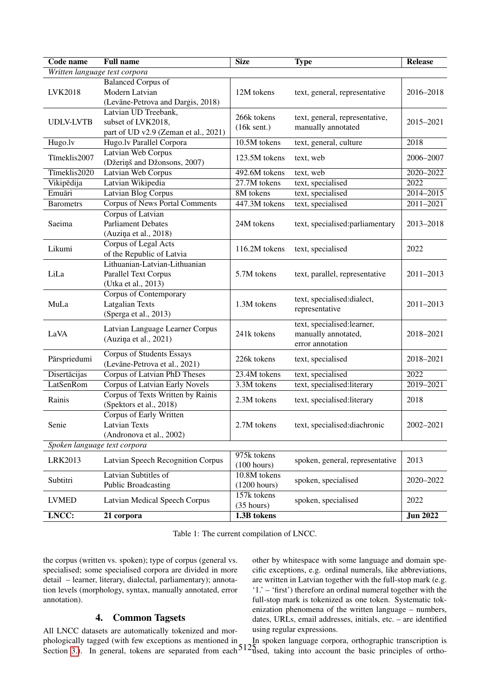| Code name                     | <b>Full name</b>                      | <b>Size</b>                | <b>Type</b>                                                                                                                                                                                                                                                                                                                                                                        | <b>Release</b>                                                                                                                                                                         |  |  |  |  |
|-------------------------------|---------------------------------------|----------------------------|------------------------------------------------------------------------------------------------------------------------------------------------------------------------------------------------------------------------------------------------------------------------------------------------------------------------------------------------------------------------------------|----------------------------------------------------------------------------------------------------------------------------------------------------------------------------------------|--|--|--|--|
| Written language text corpora |                                       |                            |                                                                                                                                                                                                                                                                                                                                                                                    |                                                                                                                                                                                        |  |  |  |  |
|                               | <b>Balanced Corpus of</b>             |                            | text, general, representative                                                                                                                                                                                                                                                                                                                                                      |                                                                                                                                                                                        |  |  |  |  |
| LVK2018                       | Modern Latvian                        | 12M tokens                 |                                                                                                                                                                                                                                                                                                                                                                                    | 2016-2018                                                                                                                                                                              |  |  |  |  |
|                               | (Levāne-Petrova and Dargis, 2018)     |                            |                                                                                                                                                                                                                                                                                                                                                                                    |                                                                                                                                                                                        |  |  |  |  |
|                               | Latvian UD Treebank,                  | 266k tokens                |                                                                                                                                                                                                                                                                                                                                                                                    |                                                                                                                                                                                        |  |  |  |  |
| <b>UDLV-LVTB</b>              | subset of LVK2018,                    | (16k sent.)                |                                                                                                                                                                                                                                                                                                                                                                                    | 2015-2021                                                                                                                                                                              |  |  |  |  |
|                               | part of UD v2.9 (Zeman et al., 2021)  |                            |                                                                                                                                                                                                                                                                                                                                                                                    |                                                                                                                                                                                        |  |  |  |  |
| $Hugo.\overline{lv}$          | Hugo.lv Parallel Corpora              | 10.5M tokens               | text, general, culture                                                                                                                                                                                                                                                                                                                                                             | 2018                                                                                                                                                                                   |  |  |  |  |
| Tīmeklis2007                  | <b>Latvian Web Corpus</b>             | 123.5M tokens              | text, web                                                                                                                                                                                                                                                                                                                                                                          |                                                                                                                                                                                        |  |  |  |  |
|                               | (Džeriņš and Džonsons, 2007)          |                            |                                                                                                                                                                                                                                                                                                                                                                                    |                                                                                                                                                                                        |  |  |  |  |
| Tīmeklis2020                  | <b>Latvian Web Corpus</b>             | 492.6M tokens              | text, web                                                                                                                                                                                                                                                                                                                                                                          | 2020-2022                                                                                                                                                                              |  |  |  |  |
| Vikipēdija                    | Latvian Wikipedia                     | 27.7M tokens               | text, specialised                                                                                                                                                                                                                                                                                                                                                                  |                                                                                                                                                                                        |  |  |  |  |
| Emuāri                        | <b>Latvian Blog Corpus</b>            | 8M tokens                  |                                                                                                                                                                                                                                                                                                                                                                                    |                                                                                                                                                                                        |  |  |  |  |
| <b>Barometrs</b>              | <b>Corpus of News Portal Comments</b> | 447.3M tokens              | text, specialised                                                                                                                                                                                                                                                                                                                                                                  |                                                                                                                                                                                        |  |  |  |  |
|                               | Corpus of Latvian                     |                            | text, specialised:parliamentary                                                                                                                                                                                                                                                                                                                                                    | 2013-2018                                                                                                                                                                              |  |  |  |  |
| Saeima                        | <b>Parliament Debates</b>             | 24M tokens                 |                                                                                                                                                                                                                                                                                                                                                                                    |                                                                                                                                                                                        |  |  |  |  |
|                               | (Auziņa et al., 2018)                 |                            |                                                                                                                                                                                                                                                                                                                                                                                    |                                                                                                                                                                                        |  |  |  |  |
| Likumi                        | Corpus of Legal Acts                  | 116.2M tokens              |                                                                                                                                                                                                                                                                                                                                                                                    |                                                                                                                                                                                        |  |  |  |  |
|                               | of the Republic of Latvia             |                            |                                                                                                                                                                                                                                                                                                                                                                                    | 2006-2007<br>2022<br>2014-2015<br>$2011 - 2021$<br>2022<br>2011-2013<br>2011-2013<br>2018-2021<br>2018-2021<br>2022<br>2019-2021<br>2018<br>$2002 - 2021$<br>2013<br>2020-2022<br>2022 |  |  |  |  |
|                               | Lithuanian-Latvian-Lithuanian         |                            |                                                                                                                                                                                                                                                                                                                                                                                    |                                                                                                                                                                                        |  |  |  |  |
| LiLa                          | Parallel Text Corpus                  | 5.7M tokens                | text, parallel, representative                                                                                                                                                                                                                                                                                                                                                     |                                                                                                                                                                                        |  |  |  |  |
|                               | (Utka et al., 2013)                   |                            |                                                                                                                                                                                                                                                                                                                                                                                    |                                                                                                                                                                                        |  |  |  |  |
| MuLa                          | Corpus of Contemporary                |                            | text, specialised:dialect,                                                                                                                                                                                                                                                                                                                                                         |                                                                                                                                                                                        |  |  |  |  |
|                               | <b>Latgalian Texts</b>                | 1.3M tokens                |                                                                                                                                                                                                                                                                                                                                                                                    |                                                                                                                                                                                        |  |  |  |  |
|                               | (Sperga et al., 2013)                 |                            |                                                                                                                                                                                                                                                                                                                                                                                    |                                                                                                                                                                                        |  |  |  |  |
|                               | Latvian Language Learner Corpus       |                            | text, specialised:learner,                                                                                                                                                                                                                                                                                                                                                         |                                                                                                                                                                                        |  |  |  |  |
| LaVA                          | (Auziņa et al., 2021)                 | 241k tokens                |                                                                                                                                                                                                                                                                                                                                                                                    |                                                                                                                                                                                        |  |  |  |  |
|                               |                                       |                            | text, general, representative,<br>manually annotated<br>text, specialised<br>text, specialised<br>representative<br>manually annotated,<br>error annotation<br>text, specialised<br>text, specialised<br>text, specialised:literary<br>text, specialised:literary<br>text, specialised:diachronic<br>spoken, general, representative<br>spoken, specialised<br>spoken, specialised |                                                                                                                                                                                        |  |  |  |  |
| Pārspriedumi                  | Corpus of Students Essays             | 226k tokens                |                                                                                                                                                                                                                                                                                                                                                                                    |                                                                                                                                                                                        |  |  |  |  |
|                               | (Levāne-Petrova et al., 2021)         |                            |                                                                                                                                                                                                                                                                                                                                                                                    |                                                                                                                                                                                        |  |  |  |  |
| Disertācijas                  | Corpus of Latvian PhD Theses          | 23.4M tokens               |                                                                                                                                                                                                                                                                                                                                                                                    |                                                                                                                                                                                        |  |  |  |  |
| <b>LatSenRom</b>              | <b>Corpus of Latvian Early Novels</b> | 3.3M tokens                |                                                                                                                                                                                                                                                                                                                                                                                    |                                                                                                                                                                                        |  |  |  |  |
| Rainis                        | Corpus of Texts Written by Rainis     | 2.3M tokens                |                                                                                                                                                                                                                                                                                                                                                                                    |                                                                                                                                                                                        |  |  |  |  |
|                               | (Spektors et al., 2018)               |                            |                                                                                                                                                                                                                                                                                                                                                                                    |                                                                                                                                                                                        |  |  |  |  |
| Senie                         | Corpus of Early Written               |                            |                                                                                                                                                                                                                                                                                                                                                                                    |                                                                                                                                                                                        |  |  |  |  |
|                               | Latvian Texts                         | 2.7M tokens                |                                                                                                                                                                                                                                                                                                                                                                                    |                                                                                                                                                                                        |  |  |  |  |
|                               | (Andronova et al., 2002)              |                            |                                                                                                                                                                                                                                                                                                                                                                                    |                                                                                                                                                                                        |  |  |  |  |
| Spoken language text corpora  |                                       |                            |                                                                                                                                                                                                                                                                                                                                                                                    |                                                                                                                                                                                        |  |  |  |  |
| LRK2013                       | Latvian Speech Recognition Corpus     | 975k tokens<br>(100 hours) |                                                                                                                                                                                                                                                                                                                                                                                    |                                                                                                                                                                                        |  |  |  |  |
| Subtitri                      | Latvian Subtitles of                  | 10.8M tokens               |                                                                                                                                                                                                                                                                                                                                                                                    |                                                                                                                                                                                        |  |  |  |  |
|                               | <b>Public Broadcasting</b>            | (1200 hours)               |                                                                                                                                                                                                                                                                                                                                                                                    |                                                                                                                                                                                        |  |  |  |  |
| <b>LVMED</b>                  | Latvian Medical Speech Corpus         | 157k tokens<br>(35 hours)  |                                                                                                                                                                                                                                                                                                                                                                                    |                                                                                                                                                                                        |  |  |  |  |
| LNCC:                         | 21 corpora                            | 1.3B tokens                |                                                                                                                                                                                                                                                                                                                                                                                    | <b>Jun 2022</b>                                                                                                                                                                        |  |  |  |  |

<span id="page-2-1"></span>Table 1: The current compilation of LNCC.

the corpus (written vs. spoken); type of corpus (general vs. specialised; some specialised corpora are divided in more detail – learner, literary, dialectal, parliamentary); annotation levels (morphology, syntax, manually annotated, error annotation).

## 4. Common Tagsets

<span id="page-2-0"></span>phologically tagged (with few exceptions as mentioned in In<br>Section 3) In general tokens are separated from each<sup>512</sup>a All LNCC datasets are automatically tokenized and mor-Section [3.\)](#page-1-0). In general, tokens are separated from each

other by whitespace with some language and domain specific exceptions, e.g. ordinal numerals, like abbreviations, are written in Latvian together with the full-stop mark (e.g. '1.' – 'first') therefore an ordinal numeral together with the full-stop mark is tokenized as one token. Systematic tokenization phenomena of the written language – numbers, dates, URLs, email addresses, initials, etc. – are identified using regular expressions.

In spoken language corpora, orthographic transcription is dsed, taking into account the basic principles of ortho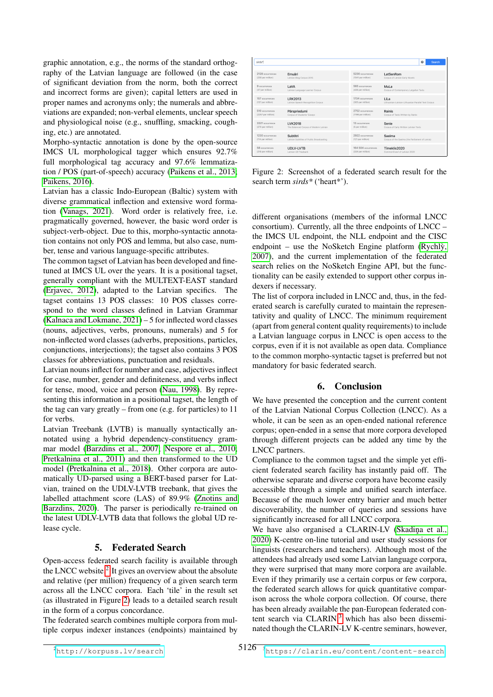graphic annotation, e.g., the norms of the standard orthography of the Latvian language are followed (in the case of significant deviation from the norm, both the correct and incorrect forms are given); capital letters are used in proper names and acronyms only; the numerals and abbreviations are expanded; non-verbal elements, unclear speech and physiological noise (e.g., snuffling, smacking, coughing, etc.) are annotated.

Morpho-syntactic annotation is done by the open-source IMCS UL morphological tagger which ensures 92.7% full morphological tag accuracy and 97.6% lemmatization / POS (part-of-speech) accuracy [\(Paikens et al., 2013;](#page-5-16) [Paikens, 2016\)](#page-5-17).

Latvian has a classic Indo-European (Baltic) system with diverse grammatical inflection and extensive word formation [\(Vanags, 2021\)](#page-5-18). Word order is relatively free, i.e. pragmatically governed, however, the basic word order is subject-verb-object. Due to this, morpho-syntactic annotation contains not only POS and lemma, but also case, number, tense and various language-specific attributes.

The common tagset of Latvian has been developed and finetuned at IMCS UL over the years. It is a positional tagset, generally compliant with the MULTEXT-EAST standard [\(Erjavec, 2012\)](#page-4-14), adapted to the Latvian specifics. The tagset contains 13 POS classes: 10 POS classes correspond to the word classes defined in Latvian Grammar [\(Kalnaca and Lokmane, 2021\)](#page-4-15) – 5 for inflected word classes (nouns, adjectives, verbs, pronouns, numerals) and 5 for non-inflected word classes (adverbs, prepositions, particles, conjunctions, interjections); the tagset also contains 3 POS classes for abbreviations, punctuation and residuals.

Latvian nouns inflect for number and case, adjectives inflect for case, number, gender and definiteness, and verbs inflect for tense, mood, voice and person [\(Nau, 1998\)](#page-5-19). By representing this information in a positional tagset, the length of the tag can vary greatly – from one (e.g. for particles) to 11 for verbs.

Latvian Treebank (LVTB) is manually syntactically annotated using a hybrid dependency-constituency grammar model [\(Barzdins et al., 2007;](#page-4-16) [Nespore et al., 2010;](#page-5-20) [Pretkalnina et al., 2011\)](#page-5-21) and then transformed to the UD model [\(Pretkalnina et al., 2018\)](#page-5-15). Other corpora are automatically UD-parsed using a BERT-based parser for Latvian, trained on the UDLV-LVTB treebank, that gives the labelled attachment score (LAS) of 89.9% [\(Znotins and](#page-5-0) [Barzdins, 2020\)](#page-5-0). The parser is periodically re-trained on the latest UDLV-LVTB data that follows the global UD release cycle.

## 5. Federated Search

<span id="page-3-0"></span>Open-access federated search facility is available through the LNCC website. $2$  It gives an overview about the absolute and relative (per million) frequency of a given search term across all the LNCC corpora. Each 'tile' in the result set (as illustrated in Figure [2\)](#page-3-3) leads to a detailed search result in the form of a corpus concordance.

The federated search combines multiple corpora from multiple corpus indexer instances (endpoints) maintained by

| sirds*               |                                          |                     | Search<br>ø                                        |
|----------------------|------------------------------------------|---------------------|----------------------------------------------------|
| 2128 occurrences     | Emuāri                                   | 5230 occurrences    | LatSenRom                                          |
| (256 per million)    | Latvian Blog Corpus 2015                 | (1541 per million)  | Corpus of Latvian Early Novels                     |
| <b>9</b> occurrences | I aVA                                    | 565 occurrences     | Mul a                                              |
| (37 per million)     | Latvian Language Learner Corpus          | (426 per million)   | Corpus of Contemporary Latgalian Texts             |
| 157 occurrences      | LRK2013                                  | 1734 occurrences    | LiLa                                               |
| (137 per million)    | Latvian Speech Recognition Corpus        | (305 per million)   | Lithuanian-Latvian-Lithuanian Parallel Text Corpus |
| 510 occurrences      | Pärspriedumi                             | 2752 occurrences    | Rainis                                             |
| (2257 per million)   | Corpus of Students' Essays               | (1196 per million)  | Corpus of Texts Written by Rainis                  |
| 3321 occurrence      | <b>LVK2018</b>                           | 13 occurrences      | Senie                                              |
| (270 per million)    | The Balanced Corpus of Modern Latvian    | (5 per million)     | Corpus of Early Written Latvian Texts              |
| 1230 occurrences     | Subtitri                                 | 2922 occurrences    | Saeima                                             |
| (114 per million)    | Latvian Subtitles of Public Broadcasting | (121 per million)   | Corpus of the Saeima (the Parliament of Latvia)    |
| 58 occurrences       | <b>UDLV-LVTB</b>                         | 164.504 occurrences | Timeklis2020                                       |
| (218 per million)    | Latvian UD Treebank                      | (334 per million)   | CommonCrawl of Latvian 2020                        |

<span id="page-3-3"></span>Figure 2: Screenshot of a federated search result for the search term *sirds\** ('heart\*').

different organisations (members of the informal LNCC consortium). Currently, all the three endpoints of LNCC – the IMCS UL endpoint, the NLL endpoint and the CISC endpoint – use the NoSketch Engine platform (Rychly, [2007\)](#page-5-22), and the current implementation of the federated search relies on the NoSketch Engine API, but the functionality can be easily extended to support other corpus indexers if necessary.

The list of corpora included in LNCC and, thus, in the federated search is carefully curated to maintain the representativity and quality of LNCC. The minimum requirement (apart from general content quality requirements) to include a Latvian language corpus in LNCC is open access to the corpus, even if it is not available as open data. Compliance to the common morpho-syntactic tagset is preferred but not mandatory for basic federated search.

## 6. Conclusion

<span id="page-3-1"></span>We have presented the conception and the current content of the Latvian National Corpus Collection (LNCC). As a whole, it can be seen as an open-ended national reference corpus; open-ended in a sense that more corpora developed through different projects can be added any time by the LNCC partners.

Compliance to the common tagset and the simple yet efficient federated search facility has instantly paid off. The otherwise separate and diverse corpora have become easily accessible through a simple and unified search interface. Because of the much lower entry barrier and much better discoverability, the number of queries and sessions have significantly increased for all LNCC corpora.

<span id="page-3-4"></span>We have also organised a CLARIN-LV (Skadina et al., [2020\)](#page-5-23) K-centre on-line tutorial and user study sessions for linguists (researchers and teachers). Although most of the attendees had already used some Latvian language corpora, they were surprised that many more corpora are available. Even if they primarily use a certain corpus or few corpora, the federated search allows for quick quantitative comparison across the whole corpora collection. Of course, there has been already available the pan-European federated content search via  $CLARIN<sub>3</sub><sup>3</sup>$  $CLARIN<sub>3</sub><sup>3</sup>$  $CLARIN<sub>3</sub><sup>3</sup>$  which has also been disseminated though the CLARIN-LV K-centre seminars, however,

<span id="page-3-2"></span><sup>2</sup><http://korpuss.lv/search>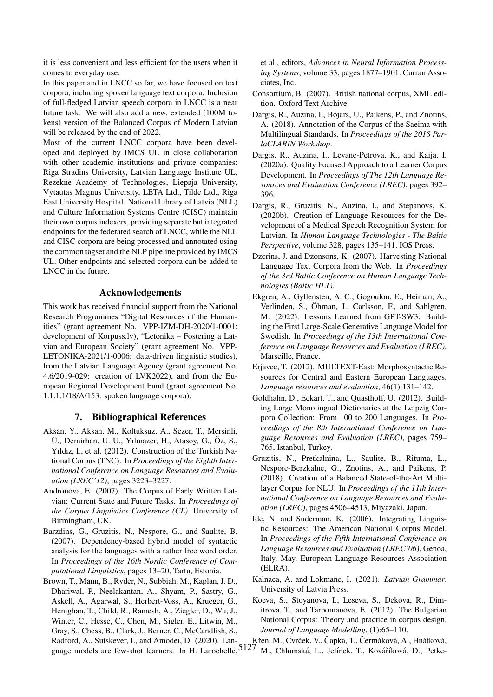it is less convenient and less efficient for the users when it comes to everyday use.

In this paper and in LNCC so far, we have focused on text corpora, including spoken language text corpora. Inclusion of full-fledged Latvian speech corpora in LNCC is a near future task. We will also add a new, extended (100M tokens) version of the Balanced Corpus of Modern Latvian will be released by the end of 2022.

Most of the current LNCC corpora have been developed and deployed by IMCS UL in close collaboration with other academic institutions and private companies: Riga Stradins University, Latvian Language Institute UL, Rezekne Academy of Technologies, Liepaja University, Vytautas Magnus University, LETA Ltd., Tilde Ltd., Riga East University Hospital. National Library of Latvia (NLL) and Culture Information Systems Centre (CISC) maintain their own corpus indexers, providing separate but integrated endpoints for the federated search of LNCC, while the NLL and CISC corpora are being processed and annotated using the common tagset and the NLP pipeline provided by IMCS UL. Other endpoints and selected corpora can be added to LNCC in the future.

#### Acknowledgements

This work has received financial support from the National Research Programmes "Digital Resources of the Humanities" (grant agreement No. VPP-IZM-DH-2020/1-0001: development of Korpuss.lv), "Letonika – Fostering a Latvian and European Society" (grant agreement No. VPP-LETONIKA-2021/1-0006: data-driven linguistic studies), from the Latvian Language Agency (grant agreement No. 4.6/2019-029: creation of LVK2022), and from the European Regional Development Fund (grant agreement No. 1.1.1.1/18/A/153: spoken language corpora).

### 7. Bibliographical References

- <span id="page-4-6"></span>Aksan, Y., Aksan, M., Koltuksuz, A., Sezer, T., Mersinli, Ü., Demirhan, U. U., Yılmazer, H., Atasoy, G., Öz, S., Yıldız, İ., et al. (2012). Construction of the Turkish National Corpus (TNC). In *Proceedings of the Eighth International Conference on Language Resources and Evaluation (LREC'12)*, pages 3223–3227.
- <span id="page-4-12"></span>Andronova, E. (2007). The Corpus of Early Written Latvian: Current State and Future Tasks. In *Proceedings of the Corpus Linguistics Conference (CL)*. University of Birmingham, UK.
- <span id="page-4-16"></span>Barzdins, G., Gruzitis, N., Nespore, G., and Saulite, B. (2007). Dependency-based hybrid model of syntactic analysis for the languages with a rather free word order. In *Proceedings of the 16th Nordic Conference of Computational Linguistics*, pages 13–20, Tartu, Estonia.
- <span id="page-4-0"></span>Brown, T., Mann, B., Ryder, N., Subbiah, M., Kaplan, J. D., Dhariwal, P., Neelakantan, A., Shyam, P., Sastry, G., Askell, A., Agarwal, S., Herbert-Voss, A., Krueger, G., Henighan, T., Child, R., Ramesh, A., Ziegler, D., Wu, J., Winter, C., Hesse, C., Chen, M., Sigler, E., Litwin, M., Gray, S., Chess, B., Clark, J., Berner, C., McCandlish, S., Radford, A., Sutskever, I., and Amodei, D. (2020). Lan-

et al., editors, *Advances in Neural Information Processing Systems*, volume 33, pages 1877–1901. Curran Associates, Inc.

- <span id="page-4-2"></span>Consortium, B. (2007). British national corpus, XML edition. Oxford Text Archive.
- <span id="page-4-10"></span>Dargis, R., Auzina, I., Bojars, U., Paikens, P., and Znotins, A. (2018). Annotation of the Corpus of the Saeima with Multilingual Standards. In *Proceedings of the 2018 ParlaCLARIN Workshop*.
- <span id="page-4-13"></span>Dargis, R., Auzina, I., Levane-Petrova, K., and Kaija, I. (2020a). Quality Focused Approach to a Learner Corpus Development. In *Proceedings of The 12th Language Resources and Evaluation Conference (LREC)*, pages 392– 396.
- <span id="page-4-8"></span>Dargis, R., Gruzitis, N., Auzina, I., and Stepanovs, K. (2020b). Creation of Language Resources for the Development of a Medical Speech Recognition System for Latvian. In *Human Language Technologies - The Baltic Perspective*, volume 328, pages 135–141. IOS Press.
- <span id="page-4-11"></span>Dzerins, J. and Dzonsons, K. (2007). Harvesting National Language Text Corpora from the Web. In *Proceedings of the 3rd Baltic Conference on Human Language Technologies (Baltic HLT)*.
- <span id="page-4-1"></span>Ekgren, A., Gyllensten, A. C., Gogoulou, E., Heiman, A., Verlinden, S., Öhman, J., Carlsson, F., and Sahlgren, M. (2022). Lessons Learned from GPT-SW3: Building the First Large-Scale Generative Language Model for Swedish. In *Proceedings of the 13th International Conference on Language Resources and Evaluation (LREC)*, Marseille, France.
- <span id="page-4-14"></span>Erjavec, T. (2012). MULTEXT-East: Morphosyntactic Resources for Central and Eastern European Languages. *Language resources and evaluation*, 46(1):131–142.
- <span id="page-4-7"></span>Goldhahn, D., Eckart, T., and Quasthoff, U. (2012). Building Large Monolingual Dictionaries at the Leipzig Corpora Collection: From 100 to 200 Languages. In *Proceedings of the 8th International Conference on Language Resources and Evaluation (LREC)*, pages 759– 765, Istanbul, Turkey.
- <span id="page-4-9"></span>Gruzitis, N., Pretkalnina, L., Saulite, B., Rituma, L., Nespore-Berzkalne, G., Znotins, A., and Paikens, P. (2018). Creation of a Balanced State-of-the-Art Multilayer Corpus for NLU. In *Proceedings of the 11th International Conference on Language Resources and Evaluation (LREC)*, pages 4506–4513, Miyazaki, Japan.
- <span id="page-4-4"></span>Ide, N. and Suderman, K. (2006). Integrating Linguistic Resources: The American National Corpus Model. In *Proceedings of the Fifth International Conference on Language Resources and Evaluation (LREC'06)*, Genoa, Italy, May. European Language Resources Association (ELRA).
- <span id="page-4-15"></span>Kalnaca, A. and Lokmane, I. (2021). *Latvian Grammar*. University of Latvia Press.
- <span id="page-4-3"></span>Koeva, S., Stoyanova, I., Leseva, S., Dekova, R., Dimitrova, T., and Tarpomanova, E. (2012). The Bulgarian National Corpus: Theory and practice in corpus design. *Journal of Language Modelling*, (1):65–110.

guage models are few-shot learners. In H. Larochelle, 5127 M., Chlumská, L., Jelínek, T., Kováříková, D., Petke-

<span id="page-4-5"></span>Křen, M., Cvrček, V., Čapka, T., Čermáková, A., Hnátková,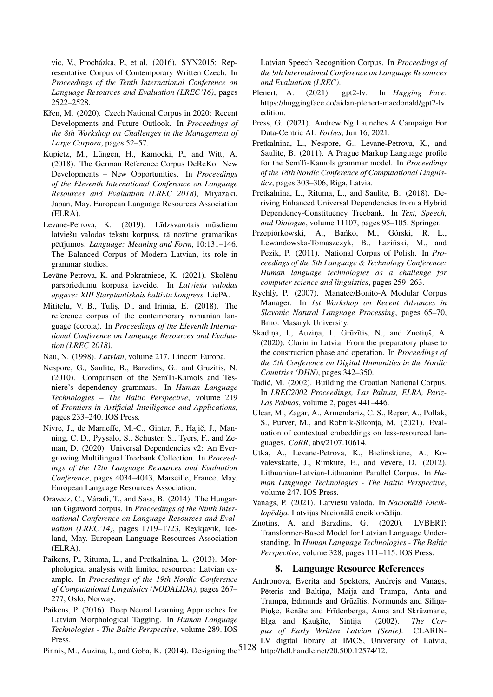vic, V., Procházka, P., et al. (2016). SYN2015: Representative Corpus of Contemporary Written Czech. In *Proceedings of the Tenth International Conference on Language Resources and Evaluation (LREC'16)*, pages 2522–2528.

- <span id="page-5-4"></span>Křen, M. (2020). Czech National Corpus in 2020: Recent Developments and Future Outlook. In *Proceedings of the 8th Workshop on Challenges in the Management of Large Corpora*, pages 52–57.
- <span id="page-5-6"></span>Kupietz, M., Lüngen, H., Kamocki, P., and Witt, A. (2018). The German Reference Corpus DeReKo: New Developments – New Opportunities. In *Proceedings of the Eleventh International Conference on Language Resources and Evaluation (LREC 2018)*, Miyazaki, Japan, May. European Language Resources Association (ELRA).
- <span id="page-5-11"></span>Levane-Petrova, K. (2019). Līdzsvarotais mūsdienu latviešu valodas tekstu korpuss, tā nozīme gramatikas pētījumos. *Language: Meaning and Form*, 10:131–146. The Balanced Corpus of Modern Latvian, its role in grammar studies.
- <span id="page-5-12"></span>Levāne-Petrova, K. and Pokratniece, K. (2021). Skolēnu pārspriedumu korpusa izveide. In *Latviešu valodas apguve: XIII Starptautiskais baltistu kongress*. LiePA.
- <span id="page-5-9"></span>Mititelu, V. B., Tufis, D., and Irimia, E. (2018). The reference corpus of the contemporary romanian language (corola). In *Proceedings of the Eleventh International Conference on Language Resources and Evaluation (LREC 2018)*.
- <span id="page-5-19"></span>Nau, N. (1998). *Latvian*, volume 217. Lincom Europa.
- <span id="page-5-20"></span>Nespore, G., Saulite, B., Barzdins, G., and Gruzitis, N. (2010). Comparison of the SemTi-Kamols and Tesniere's dependency grammars. In *Human Language Technologies – The Baltic Perspective*, volume 219 of *Frontiers in Artificial Intelligence and Applications*, pages 233–240. IOS Press.
- <span id="page-5-14"></span>Nivre, J., de Marneffe, M.-C., Ginter, F., Hajič, J., Manning, C. D., Pyysalo, S., Schuster, S., Tyers, F., and Zeman, D. (2020). Universal Dependencies v2: An Evergrowing Multilingual Treebank Collection. In *Proceedings of the 12th Language Resources and Evaluation Conference*, pages 4034–4043, Marseille, France, May. European Language Resources Association.
- <span id="page-5-7"></span>Oravecz, C., Váradi, T., and Sass, B. (2014). The Hungarian Gigaword corpus. In *Proceedings of the Ninth International Conference on Language Resources and Evaluation (LREC'14)*, pages 1719–1723, Reykjavik, Iceland, May. European Language Resources Association (ELRA).
- <span id="page-5-16"></span>Paikens, P., Rituma, L., and Pretkalnina, L. (2013). Morphological analysis with limited resources: Latvian example. In *Proceedings of the 19th Nordic Conference of Computational Linguistics (NODALIDA)*, pages 267– 277, Oslo, Norway.
- <span id="page-5-17"></span>Paikens, P. (2016). Deep Neural Learning Approaches for Latvian Morphological Tagging. In *Human Language Technologies - The Baltic Perspective*, volume 289. IOS Press.
- <span id="page-5-10"></span>Pinnis, M., Auzina, I., and Goba, K. (2014). Designing the  $5128$

Latvian Speech Recognition Corpus. In *Proceedings of the 9th International Conference on Language Resources and Evaluation (LREC)*.

- <span id="page-5-2"></span>Plenert, A. (2021). gpt2-lv. In *Hugging Face*. https://huggingface.co/aidan-plenert-macdonald/gpt2-lv edition.
- <span id="page-5-3"></span>Press, G. (2021). Andrew Ng Launches A Campaign For Data-Centric AI. *Forbes*, Jun 16, 2021.
- <span id="page-5-21"></span>Pretkalnina, L., Nespore, G., Levane-Petrova, K., and Saulite, B. (2011). A Prague Markup Language profile for the SemTi-Kamols grammar model. In *Proceedings of the 18th Nordic Conference of Computational Linguistics*, pages 303–306, Riga, Latvia.
- <span id="page-5-15"></span>Pretkalnina, L., Rituma, L., and Saulite, B. (2018). Deriving Enhanced Universal Dependencies from a Hybrid Dependency-Constituency Treebank. In *Text, Speech, and Dialogue*, volume 11107, pages 95–105. Springer.
- <span id="page-5-8"></span>Przepiórkowski, A., Bańko, M., Górski, R. L., Lewandowska-Tomaszczyk, B., Łaziński, M., and Pezik, P. (2011). National Corpus of Polish. In *Proceedings of the 5th Language & Technology Conference: Human language technologies as a challenge for computer science and linguistics*, pages 259–263.
- <span id="page-5-22"></span>Rychly, P. (2007). Manatee/Bonito-A Modular Corpus ` Manager. In *1st Workshop on Recent Advances in Slavonic Natural Language Processing*, pages 65–70, Brno: Masaryk University.
- <span id="page-5-23"></span>Skadiņa, I., Auziņa, I., Grūzītis, N., and Znotiņš, A. (2020). Clarin in Latvia: From the preparatory phase to the construction phase and operation. In *Proceedings of the 5th Conference on Digital Humanities in the Nordic Countries (DHN)*, pages 342–350.
- <span id="page-5-5"></span>Tadic, M. (2002). Building the Croatian National Corpus. ´ In *LREC2002 Proceedings, Las Palmas, ELRA, Pariz-Las Palmas*, volume 2, pages 441–446.
- <span id="page-5-1"></span>Ulcar, M., Zagar, A., Armendariz, C. S., Repar, A., Pollak, S., Purver, M., and Robnik-Sikonja, M. (2021). Evaluation of contextual embeddings on less-resourced languages. *CoRR*, abs/2107.10614.
- <span id="page-5-13"></span>Utka, A., Levane-Petrova, K., Bielinskiene, A., Kovalevskaite, J., Rimkute, E., and Vevere, D. (2012). Lithuanian-Latvian-Lithuanian Parallel Corpus. In *Human Language Technologies - The Baltic Perspective*, volume 247. IOS Press.
- <span id="page-5-18"></span>Vanags, P. (2021). Latviešu valoda. In *Nacionālā Encik* $lop\bar{\text{e}}dija$ . Latvijas Nacionālā enciklopēdija.
- <span id="page-5-0"></span>Znotins, A. and Barzdins, G. (2020). LVBERT: Transformer-Based Model for Latvian Language Understanding. In *Human Language Technologies - The Baltic Perspective*, volume 328, pages 111–115. IOS Press.

#### 8. Language Resource References

Andronova, Everita and Spektors, Andrejs and Vanags, Pēteris and Baltiņa, Maija and Trumpa, Anta and Trumpa, Edmunds and Grūzītis, Normunds and Silina-Pinke, Renāte and Frīdenberga, Anna and Skrūzmane, Elga and Kaukīte, Sintija. (2002). *The Corpus of Early Written Latvian (Senie)*. CLARIN-LV digital library at IMCS, University of Latvia, http://hdl.handle.net/20.500.12574/12.